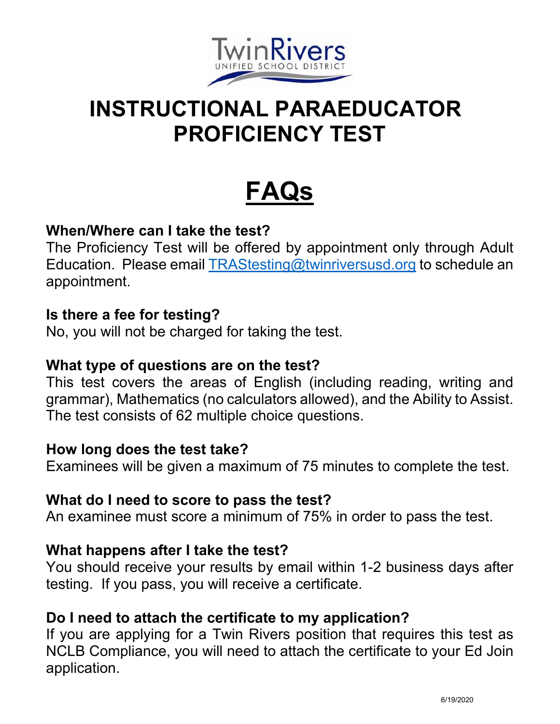

# **INSTRUCTIONAL PARAEDUCATOR PROFICIENCY TEST**

# **FAQs**

## **When/Where can I take the test?**

The Proficiency Test will be offered by appointment only through Adult Education. Please email TRAStesting@twinriversusd.org to schedule an appointment.

#### **Is there a fee for testing?**

No, you will not be charged for taking the test.

#### **What type of questions are on the test?**

This test covers the areas of English (including reading, writing and grammar), Mathematics (no calculators allowed), and the Ability to Assist. The test consists of 62 multiple choice questions.

#### **How long does the test take?**

Examinees will be given a maximum of 75 minutes to complete the test.

#### **What do I need to score to pass the test?**

An examinee must score a minimum of 75% in order to pass the test.

#### **What happens after I take the test?**

You should receive your results by email within 1-2 business days after testing. If you pass, you will receive a certificate.

#### **Do I need to attach the certificate to my application?**

If you are applying for a Twin Rivers position that requires this test as NCLB Compliance, you will need to attach the certificate to your Ed Join application.